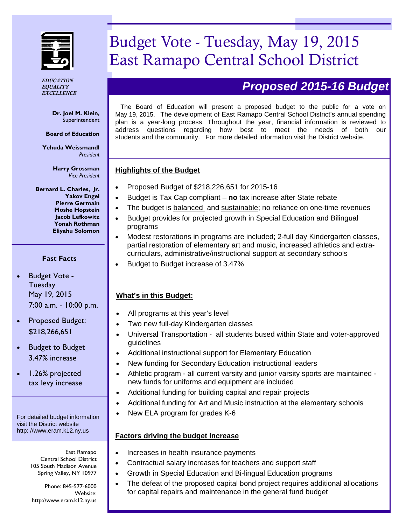

*EDUCATION EQUALITY EXCELLENCE*

> **Dr. Joel M. Klein,**  Superintendent

**Board of Education** 

**Yehuda Weissmandl**  *President* 

> **Harry Grossman**  *Vice President*

**Bernard L. Charles, Jr. Yakov Engel Pierre Germain Moshe Hopstein Jacob Lefkowitz Yonah Rothman Eliyahu Solomon** 

### **Fast Facts**

- Budget Vote Tuesday May 19, 2015 7:00 a.m. - 10:00 p.m.
- Proposed Budget: \$218,266,651

 Budget to Budget 3.47% increase

 1.26% projected tax levy increase

For detailed budget information visit the District website http: //www.eram.k12.ny.us

> East Ramapo Central School District 105 South Madison Avenue Spring Valley, NY 10977

Phone: 845-577-6000 Website: http://www.eram.k12.ny.us

# Budget Vote - Tuesday, May 19, 2015 East Ramapo Central School District

## *Proposed 2015-16 Budget*

The Board of Education will present a proposed budget to the public for a vote on May 19, 2015. The development of East Ramapo Central School District's annual spending plan is a year-long process. Throughout the year, financial information is reviewed to address questions regarding how best to meet the needs of both our students and the community. For more detailed information visit the District website.

### **Highlights of the Budget**

- Proposed Budget of \$218,226,651 for 2015-16
- Budget is Tax Cap compliant **no** tax increase after State rebate
- The budget is balanced and sustainable; no reliance on one-time revenues
- Budget provides for projected growth in Special Education and Bilingual programs
- Modest restorations in programs are included; 2-full day Kindergarten classes, partial restoration of elementary art and music, increased athletics and extracurriculars, administrative/instructional support at secondary schools
- Budget to Budget increase of 3.47%

### **What's in this Budget:**

- All programs at this year's level
- Two new full-day Kindergarten classes
- Universal Transportation all students bused within State and voter-approved guidelines
- Additional instructional support for Elementary Education
- New funding for Secondary Education instructional leaders
- Athletic program all current varsity and junior varsity sports are maintained new funds for uniforms and equipment are included
- Additional funding for building capital and repair projects
- Additional funding for Art and Music instruction at the elementary schools
- New ELA program for grades K-6

### **Factors driving the budget increase**

- Increases in health insurance payments
- Contractual salary increases for teachers and support staff
- Growth in Special Education and Bi-lingual Education programs
- The defeat of the proposed capital bond project requires additional allocations for capital repairs and maintenance in the general fund budget